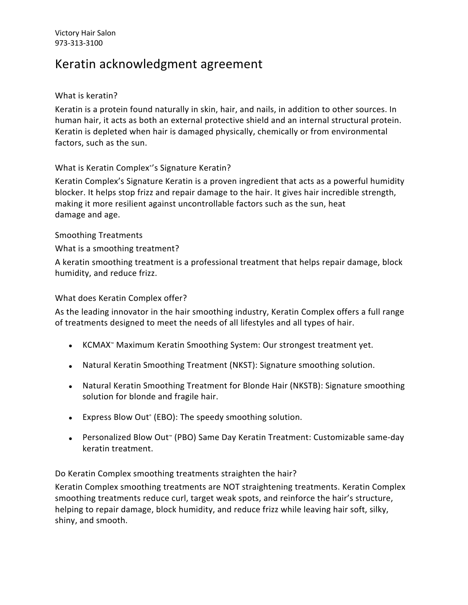# Keratin acknowledgment agreement

#### What is keratin?

Keratin is a protein found naturally in skin, hair, and nails, in addition to other sources. In human hair, it acts as both an external protective shield and an internal structural protein. Keratin is depleted when hair is damaged physically, chemically or from environmental factors, such as the sun.

## What is Keratin Complex ® 's Signature Keratin?

Keratin Complex's Signature Keratin is a proven ingredient that acts as a powerful humidity blocker. It helps stop frizz and repair damage to the hair. It gives hair incredible strength, making it more resilient against uncontrollable factors such as the sun, heat damage and age.

#### Smoothing Treatments

What is a smoothing treatment?

A keratin smoothing treatment is a professional treatment that helps repair damage, block humidity, and reduce frizz.

### What does Keratin Complex offer?

As the leading innovator in the hair smoothing industry, Keratin Complex offers a full range of treatments designed to meet the needs of all lifestyles and all types of hair.

- KCMAX™ Maximum Keratin Smoothing System: Our strongest treatment yet.
- Natural Keratin Smoothing Treatment (NKST): Signature smoothing solution.
- Natural Keratin Smoothing Treatment for Blonde Hair (NKSTB): Signature smoothing solution for blonde and fragile hair.
- Express Blow Out ® (EBO): The speedy smoothing solution.
- Personalized Blow Out™ (PBO) Same Day Keratin Treatment: Customizable same-day keratin treatment.

Do Keratin Complex smoothing treatments straighten the hair?

Keratin Complex smoothing treatments are NOT straightening treatments. Keratin Complex smoothing treatments reduce curl, target weak spots, and reinforce the hair's structure, helping to repair damage, block humidity, and reduce frizz while leaving hair soft, silky, shiny, and smooth.